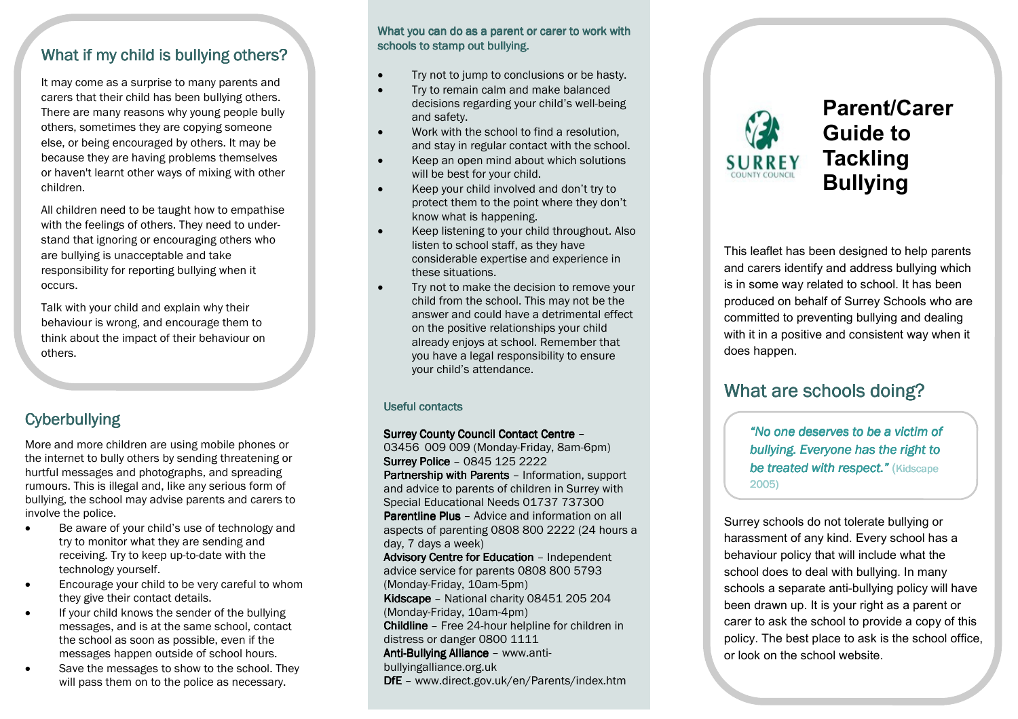### What if my child is bullying others?

It may come as a surprise to many parents and carers that their child has been bullying others. There are many reasons why young people bully others, sometimes they are copying someone else, or being encouraged by others. It may be because they are having problems themselves or haven't learnt other ways of mixing with other children.

All children need to be taught how to empathise with the feelings of others. They need to understand that ignoring or encouraging others who are bullying is unacceptable and take responsibility for reporting bullying when it occurs.

Talk with your child and explain why their behaviour is wrong, and encourage them to think about the impact of their behaviour on others.

### **Cyberbullying**

More and more children are using mobile phones or the internet to bully others by sending threatening or hurtful messages and photographs, and spreading rumours. This is illegal and, like any serious form of bullying, the school may advise parents and carers to involve the police.

- Be aware of your child's use of technology and try to monitor what they are sending and receiving. Try to keep up-to-date with the technology yourself.
- Encourage your child to be very careful to whom they give their contact details.
- If your child knows the sender of the bullying messages, and is at the same school, contact the school as soon as possible, even if the messages happen outside of school hours.
- Save the messages to show to the school. They will pass them on to the police as necessary.

#### What you can do as a parent or carer to work with schools to stamp out bullying.

- Try not to jump to conclusions or be hasty.
- Try to remain calm and make balanced decisions regarding your child's well-being and safety.
- Work with the school to find a resolution, and stay in regular contact with the school.
- Keep an open mind about which solutions will be best for your child.
- Keep your child involved and don't try to protect them to the point where they don't know what is happening.
- Keep listening to your child throughout. Also listen to school staff, as they have considerable expertise and experience in these situations.
- Try not to make the decision to remove your child from the school. This may not be the answer and could have a detrimental effect on the positive relationships your child already enjoys at school. Remember that you have a legal responsibility to ensure your child's attendance.

#### Useful contacts

#### Surrey County Council Contact Centre -

 03456 009 009 (Monday-Friday, 8am-6pm) Surrey Police - 0845 125 2222 Partnership with Parents - Information, support and advice to parents of children in Surrey with Special Educational Needs 01737 737300 Parentline Plus – Advice and information on all aspects of parenting 0808 800 2222 (24 hours a day, 7 days a week) Advisory Centre for Education - Independent advice service for parents 0808 800 5793 (Monday-Friday, 10am-5pm) Kidscape - National charity 08451 205 204 (Monday-Friday, 10am-4pm) Childline - Free 24-hour helpline for children in distress or danger 0800 1111 Anti-Bullying Alliance - www.antibullyingalliance.org.uk DfE - www.direct.gov.uk/en/Parents/index.htm



Parent/Carer Guide to **Tackling** Bullying

This leaflet has been designed to help parents and carers identify and address bullying which is in some way related to school. It has been produced on behalf of Surrey Schools who are committed to preventing bullying and dealing with it in a positive and consistent way when it does happen.

# What are schools doing?

"No one deserves to be a victim of bullying. Everyone has the right to be treated with respect." (Kidscape 2005)

Surrey schools do not tolerate bullying or harassment of any kind. Every school has a behaviour policy that will include what the school does to deal with bullying. In many schools a separate anti-bullying policy will have been drawn up. It is your right as a parent or carer to ask the school to provide a copy of this policy. The best place to ask is the school office,or look on the school website.